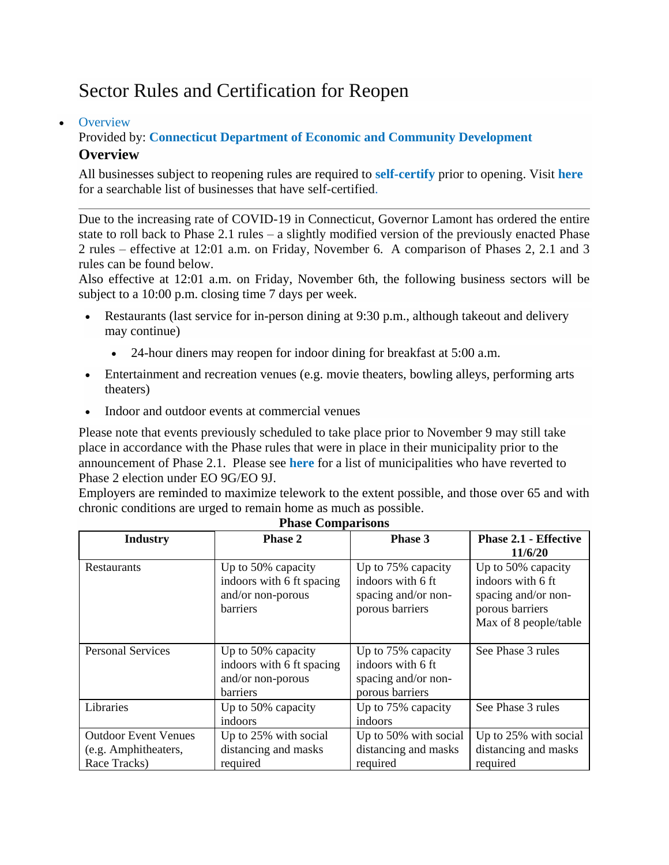# Sector Rules and Certification for Reopen

### • [Overview](https://portal.ct.gov/DECD/Content/Coronavirus-Business-Recovery/Sector-Rules-and-Certification-for-Reopen)

# Provided by: **[Connecticut Department of Economic and Community Development](https://portal.ct.gov/DECD) Overview**

All businesses subject to reopening rules are required to **[self-certify](https://service.ct.gov/recovery/s/?language=en_US)** prior to opening. Visit **[here](https://service.ct.gov/covidreport)** for a searchable list of businesses that have self-certified.

Due to the increasing rate of COVID-19 in Connecticut, Governor Lamont has ordered the entire state to roll back to Phase 2.1 rules – a slightly modified version of the previously enacted Phase 2 rules – effective at 12:01 a.m. on Friday, November 6. A comparison of Phases 2, 2.1 and 3 rules can be found below.

Also effective at 12:01 a.m. on Friday, November 6th, the following business sectors will be subject to a 10:00 p.m. closing time 7 days per week.

- Restaurants (last service for in-person dining at 9:30 p.m., although takeout and delivery may continue)
	- 24-hour diners may reopen for indoor dining for breakfast at 5:00 a.m.
- Entertainment and recreation venues (e.g. movie theaters, bowling alleys, performing arts theaters)
- Indoor and outdoor events at commercial venues

Please note that events previously scheduled to take place prior to November 9 may still take place in accordance with the Phase rules that were in place in their municipality prior to the announcement of Phase 2.1. Please see **[here](https://portal.ct.gov/-/media/DECD/Covid_Business_Recovery-Phase-2-1/11420---Covid-Phase-Elections.xlsx)** for a list of municipalities who have reverted to Phase 2 election under EO 9G/EO 9J.

Employers are reminded to maximize telework to the extent possible, and those over 65 and with chronic conditions are urged to remain home as much as possible.

| <b>Industry</b>                                                     | <b>Phase 2</b>                                                                          | Phase 3                                                                           | <b>Phase 2.1 - Effective</b>                                                                               |
|---------------------------------------------------------------------|-----------------------------------------------------------------------------------------|-----------------------------------------------------------------------------------|------------------------------------------------------------------------------------------------------------|
|                                                                     |                                                                                         |                                                                                   | 11/6/20                                                                                                    |
| <b>Restaurants</b>                                                  | Up to 50% capacity<br>indoors with 6 ft spacing<br>and/or non-porous<br><b>barriers</b> | Up to 75% capacity<br>indoors with 6 ft<br>spacing and/or non-<br>porous barriers | Up to 50% capacity<br>indoors with 6 ft<br>spacing and/or non-<br>porous barriers<br>Max of 8 people/table |
| <b>Personal Services</b>                                            | Up to 50% capacity<br>indoors with 6 ft spacing<br>and/or non-porous<br><b>barriers</b> | Up to 75% capacity<br>indoors with 6 ft<br>spacing and/or non-<br>porous barriers | See Phase 3 rules                                                                                          |
| Libraries                                                           | Up to 50% capacity<br>indoors                                                           | Up to 75% capacity<br>indoors                                                     | See Phase 3 rules                                                                                          |
| <b>Outdoor Event Venues</b><br>(e.g. Amphitheaters,<br>Race Tracks) | Up to 25% with social<br>distancing and masks<br>required                               | Up to 50% with social<br>distancing and masks<br>required                         | Up to 25% with social<br>distancing and masks<br>required                                                  |

**Phase Comparisons**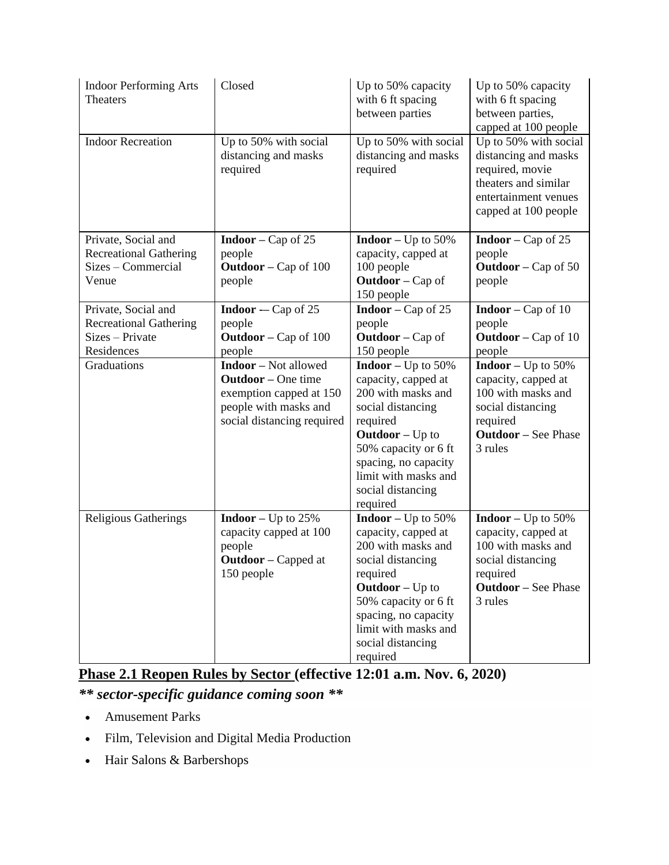| <b>Indoor Performing Arts</b><br><b>Theaters</b>    | Closed                                                    | Up to 50% capacity<br>with 6 ft spacing<br>between parties | Up to 50% capacity<br>with 6 ft spacing<br>between parties,<br>capped at 100 people                                                      |
|-----------------------------------------------------|-----------------------------------------------------------|------------------------------------------------------------|------------------------------------------------------------------------------------------------------------------------------------------|
| <b>Indoor Recreation</b>                            | Up to 50% with social<br>distancing and masks<br>required | Up to 50% with social<br>distancing and masks<br>required  | Up to 50% with social<br>distancing and masks<br>required, movie<br>theaters and similar<br>entertainment venues<br>capped at 100 people |
| Private, Social and                                 | <b>Indoor</b> – Cap of 25                                 | <b>Indoor</b> – Up to $50\%$                               | <b>Indoor</b> – Cap of 25                                                                                                                |
| <b>Recreational Gathering</b><br>Sizes – Commercial | people<br><b>Outdoor</b> – Cap of $100$                   | capacity, capped at<br>100 people                          | people<br><b>Outdoor</b> – Cap of 50                                                                                                     |
| Venue                                               | people                                                    | <b>Outdoor</b> – Cap of                                    | people                                                                                                                                   |
|                                                     |                                                           | 150 people                                                 |                                                                                                                                          |
| Private, Social and                                 | <b>Indoor</b> - Cap of 25                                 | <b>Indoor</b> – Cap of $25$                                | <b>Indoor</b> – Cap of 10                                                                                                                |
| <b>Recreational Gathering</b>                       | people                                                    | people                                                     | people                                                                                                                                   |
| Sizes - Private                                     | <b>Outdoor</b> – Cap of $100$                             | <b>Outdoor</b> – Cap of                                    | <b>Outdoor</b> – Cap of 10                                                                                                               |
| Residences                                          | people                                                    | 150 people                                                 | people                                                                                                                                   |
| Graduations                                         | <b>Indoor</b> – Not allowed                               | <b>Indoor</b> – Up to $50\%$                               | <b>Indoor</b> – Up to $50\%$                                                                                                             |
|                                                     | <b>Outdoor</b> – One time                                 | capacity, capped at                                        | capacity, capped at                                                                                                                      |
|                                                     | exemption capped at 150                                   | 200 with masks and                                         | 100 with masks and                                                                                                                       |
|                                                     | people with masks and                                     | social distancing                                          | social distancing                                                                                                                        |
|                                                     | social distancing required                                | required                                                   | required                                                                                                                                 |
|                                                     |                                                           | $Outdoor - Up$ to                                          | <b>Outdoor</b> – See Phase                                                                                                               |
|                                                     |                                                           | 50% capacity or 6 ft                                       | 3 rules                                                                                                                                  |
|                                                     |                                                           | spacing, no capacity<br>limit with masks and               |                                                                                                                                          |
|                                                     |                                                           | social distancing                                          |                                                                                                                                          |
|                                                     |                                                           | required                                                   |                                                                                                                                          |
| <b>Religious Gatherings</b>                         | <b>Indoor</b> – Up to $25\%$                              | <b>Indoor</b> – Up to $50\%$                               | <b>Indoor</b> – Up to $50\%$                                                                                                             |
|                                                     | capacity capped at 100                                    | capacity, capped at                                        | capacity, capped at                                                                                                                      |
|                                                     | people                                                    | 200 with masks and                                         | 100 with masks and                                                                                                                       |
|                                                     | <b>Outdoor</b> – Capped at                                | social distancing                                          | social distancing                                                                                                                        |
|                                                     | 150 people                                                | required                                                   | required                                                                                                                                 |
|                                                     |                                                           | $Outdoor - Up$ to                                          | <b>Outdoor</b> – See Phase                                                                                                               |
|                                                     |                                                           | 50% capacity or 6 ft                                       | 3 rules                                                                                                                                  |
|                                                     |                                                           | spacing, no capacity                                       |                                                                                                                                          |
|                                                     |                                                           | limit with masks and                                       |                                                                                                                                          |
|                                                     |                                                           | social distancing                                          |                                                                                                                                          |
|                                                     |                                                           | required                                                   |                                                                                                                                          |

**Phase 2.1 Reopen Rules by Sector (effective 12:01 a.m. Nov. 6, 2020)** *\*\* sector-specific guidance coming soon \*\**

- Amusement Parks
- Film, Television and Digital Media Production
- Hair Salons & Barbershops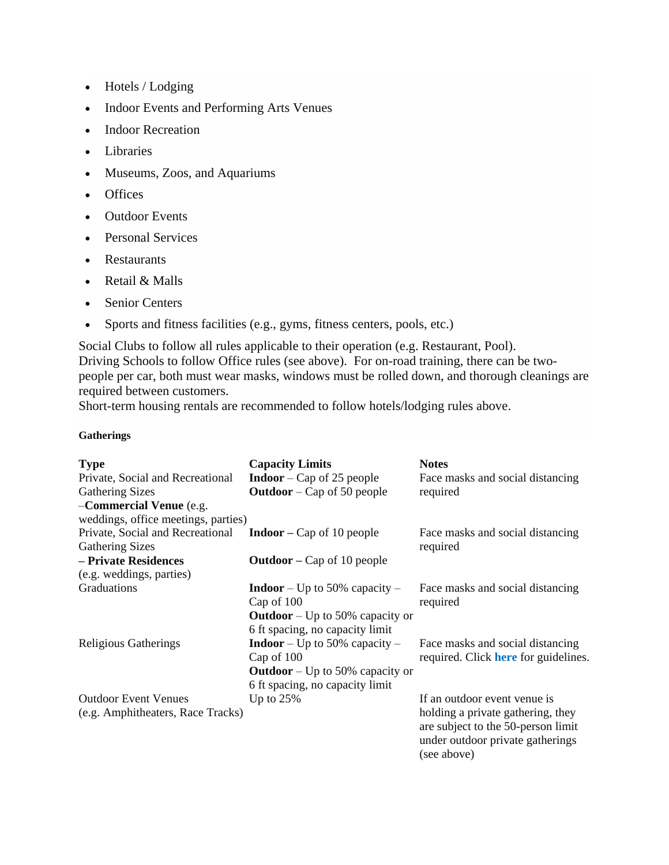- Hotels / Lodging
- Indoor Events and Performing Arts Venues
- Indoor Recreation
- Libraries
- Museums, Zoos, and Aquariums
- Offices
- Outdoor Events
- Personal Services
- Restaurants
- Retail & Malls
- Senior Centers
- Sports and fitness facilities (e.g., gyms, fitness centers, pools, etc.)

Social Clubs to follow all rules applicable to their operation (e.g. Restaurant, Pool). Driving Schools to follow Office rules (see above). For on-road training, there can be twopeople per car, both must wear masks, windows must be rolled down, and thorough cleanings are required between customers.

Short-term housing rentals are recommended to follow hotels/lodging rules above.

#### **Gatherings**

| <b>Type</b>                         | <b>Capacity Limits</b>                 | <b>Notes</b>                                                                                                               |
|-------------------------------------|----------------------------------------|----------------------------------------------------------------------------------------------------------------------------|
| Private, Social and Recreational    | <b>Indoor</b> – Cap of 25 people       | Face masks and social distancing                                                                                           |
| <b>Gathering Sizes</b>              | <b>Outdoor</b> – Cap of 50 people      | required                                                                                                                   |
| -Commercial Venue (e.g.             |                                        |                                                                                                                            |
| weddings, office meetings, parties) |                                        |                                                                                                                            |
| Private, Social and Recreational    | <b>Indoor</b> – Cap of 10 people       | Face masks and social distancing                                                                                           |
| <b>Gathering Sizes</b>              |                                        | required                                                                                                                   |
| - Private Residences                | <b>Outdoor</b> – Cap of 10 people      |                                                                                                                            |
| (e.g. weddings, parties)            |                                        |                                                                                                                            |
| Graduations                         | <b>Indoor</b> – Up to 50% capacity –   | Face masks and social distancing                                                                                           |
|                                     | Cap of 100                             | required                                                                                                                   |
|                                     | <b>Outdoor</b> – Up to 50% capacity or |                                                                                                                            |
|                                     | 6 ft spacing, no capacity limit        |                                                                                                                            |
| Religious Gatherings                | <b>Indoor</b> – Up to 50% capacity –   | Face masks and social distancing                                                                                           |
|                                     | Cap of 100                             | required. Click <b>here</b> for guidelines.                                                                                |
|                                     | <b>Outdoor</b> – Up to 50% capacity or |                                                                                                                            |
|                                     | 6 ft spacing, no capacity limit        |                                                                                                                            |
| <b>Outdoor Event Venues</b>         | Up to $25%$                            | If an outdoor event venue is                                                                                               |
| (e.g. Amphitheaters, Race Tracks)   |                                        | holding a private gathering, they<br>are subject to the 50-person limit<br>under outdoor private gatherings<br>(see above) |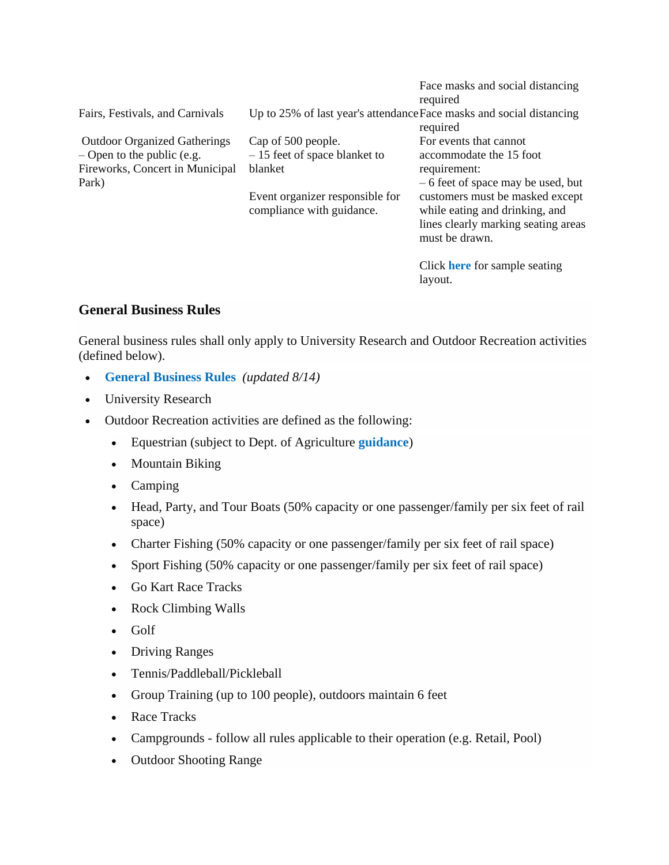|                                                                                                                 |                                                                                  | Face masks and social distancing<br>required                                                                               |
|-----------------------------------------------------------------------------------------------------------------|----------------------------------------------------------------------------------|----------------------------------------------------------------------------------------------------------------------------|
| Fairs, Festivals, and Carnivals                                                                                 | Up to 25% of last year's attendance Face masks and social distancing<br>required |                                                                                                                            |
| <b>Outdoor Organized Gatherings</b><br>$-$ Open to the public (e.g.<br>Fireworks, Concert in Municipal<br>Park) | Cap of 500 people.<br>$-15$ feet of space blanket to<br>blanket                  | For events that cannot<br>accommodate the 15 foot<br>requirement:<br>$-6$ feet of space may be used, but                   |
|                                                                                                                 | Event organizer responsible for<br>compliance with guidance.                     | customers must be masked except<br>while eating and drinking, and<br>lines clearly marking seating areas<br>must be drawn. |
|                                                                                                                 |                                                                                  | Click here for sample seating<br>layout.                                                                                   |

## **General Business Rules**

General business rules shall only apply to University Research and Outdoor Recreation activities (defined below).

- **[General Business Rules](https://portal.ct.gov/-/media/DECD/Covid_Business_Recovery-Aug-14-updates/CTReopensSL_GenBus814.pdf)** *(updated 8/14)*
- University Research
- Outdoor Recreation activities are defined as the following:
	- Equestrian (subject to Dept. of Agriculture **[guidance](https://portal.ct.gov/-/media/DOAG/COVID/COVID-19_Equine-Phase-1-Reopen-Guidance.pdf?la=en&hash=FCBA7ED5104A9FF5E8238270084FFE6B)**)
	- Mountain Biking
	- Camping
	- Head, Party, and Tour Boats (50% capacity or one passenger/family per six feet of rail space)
	- Charter Fishing (50% capacity or one passenger/family per six feet of rail space)
	- Sport Fishing (50% capacity or one passenger/family per six feet of rail space)
	- Go Kart Race Tracks
	- Rock Climbing Walls
	- Golf
	- Driving Ranges
	- Tennis/Paddleball/Pickleball
	- Group Training (up to 100 people), outdoors maintain 6 feet
	- Race Tracks
	- Campgrounds follow all rules applicable to their operation (e.g. Retail, Pool)
	- Outdoor Shooting Range